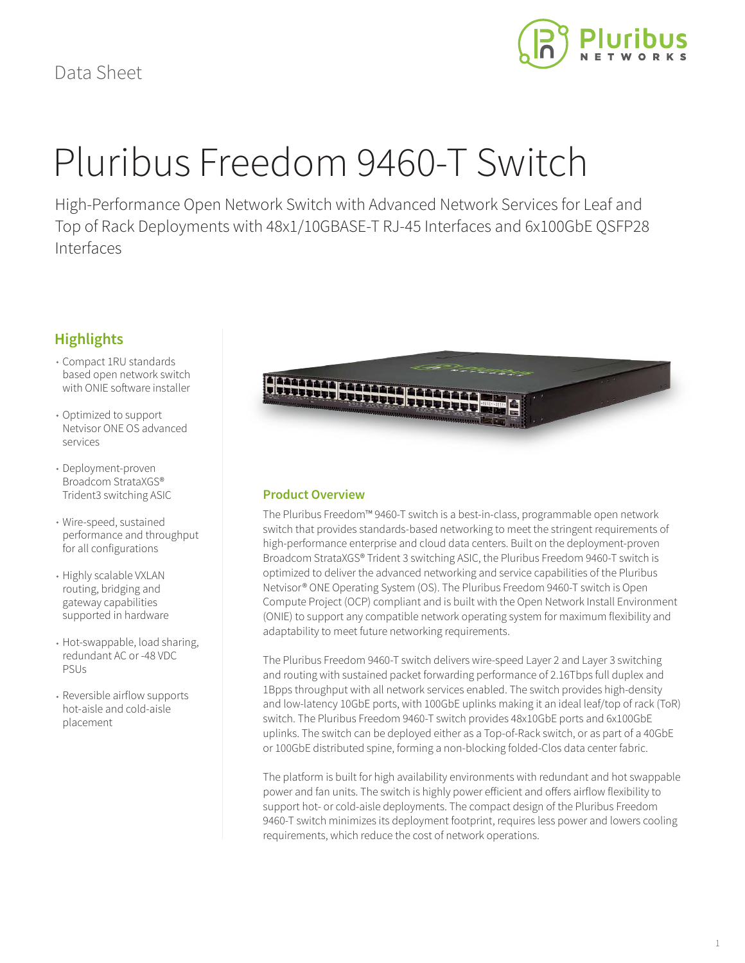

# Pluribus Freedom 9460-T Switch

High-Performance Open Network Switch with Advanced Network Services for Leaf and Top of Rack Deployments with 48x1/10GBASE-T RJ-45 Interfaces and 6x100GbE QSFP28 Interfaces

## **Highlights**

- Compact 1RU standards based open network switch with ONIE software installer
- Optimized to support Netvisor ONE OS advanced services
- Deployment-proven Broadcom StrataXGS® Trident3 switching ASIC
- Wire-speed, sustained performance and throughput for all configurations
- Highly scalable VXLAN routing, bridging and gateway capabilities supported in hardware
- Hot-swappable, load sharing, redundant AC or -48 VDC PSUs
- Reversible airflow supports hot-aisle and cold-aisle placement



#### **Product Overview**

The Pluribus Freedom™ 9460-T switch is a best-in-class, programmable open network switch that provides standards-based networking to meet the stringent requirements of high-performance enterprise and cloud data centers. Built on the deployment-proven Broadcom StrataXGS® Trident 3 switching ASIC, the Pluribus Freedom 9460-T switch is optimized to deliver the advanced networking and service capabilities of the Pluribus Netvisor® ONE Operating System (OS). The Pluribus Freedom 9460-T switch is Open Compute Project (OCP) compliant and is built with the Open Network Install Environment (ONIE) to support any compatible network operating system for maximum flexibility and adaptability to meet future networking requirements.

The Pluribus Freedom 9460-T switch delivers wire-speed Layer 2 and Layer 3 switching and routing with sustained packet forwarding performance of 2.16Tbps full duplex and 1Bpps throughput with all network services enabled. The switch provides high-density and low-latency 10GbE ports, with 100GbE uplinks making it an ideal leaf/top of rack (ToR) switch. The Pluribus Freedom 9460-T switch provides 48x10GbE ports and 6x100GbE uplinks. The switch can be deployed either as a Top-of-Rack switch, or as part of a 40GbE or 100GbE distributed spine, forming a non-blocking folded-Clos data center fabric.

The platform is built for high availability environments with redundant and hot swappable power and fan units. The switch is highly power efficient and offers airflow flexibility to support hot- or cold-aisle deployments. The compact design of the Pluribus Freedom 9460-T switch minimizes its deployment footprint, requires less power and lowers cooling requirements, which reduce the cost of network operations.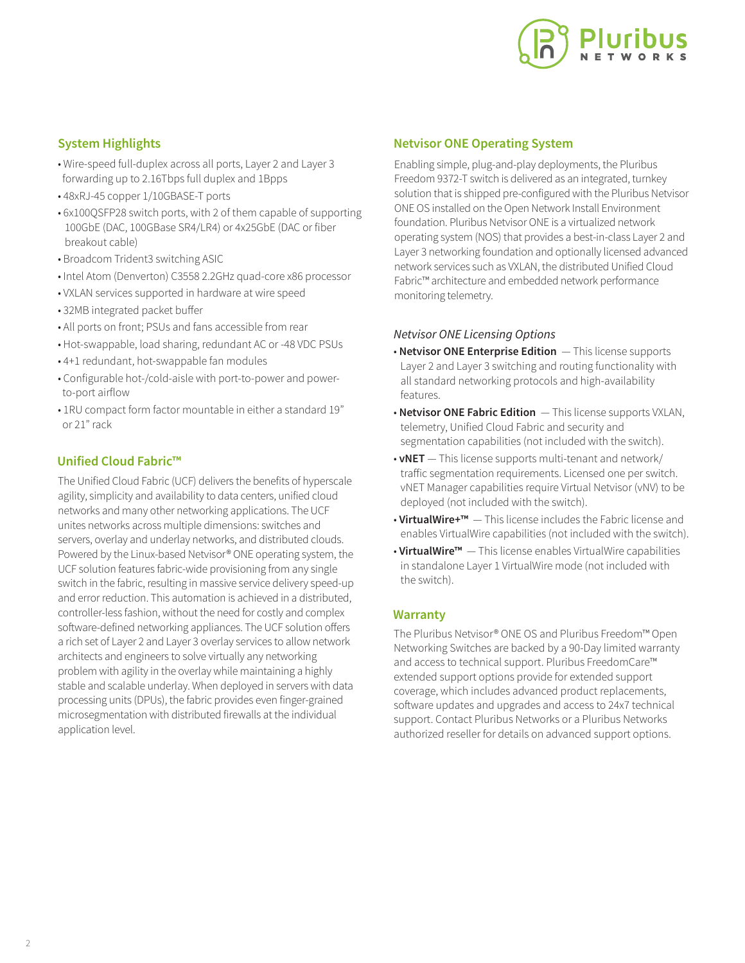

#### **System Highlights**

- Wire-speed full-duplex across all ports, Layer 2 and Layer 3 forwarding up to 2.16Tbps full duplex and 1Bpps
- 48xRJ-45 copper 1/10GBASE-T ports
- 6x100QSFP28 switch ports, with 2 of them capable of supporting 100GbE (DAC, 100GBase SR4/LR4) or 4x25GbE (DAC or fiber breakout cable)
- Broadcom Trident3 switching ASIC
- Intel Atom (Denverton) C3558 2.2GHz quad-core x86 processor
- VXLAN services supported in hardware at wire speed
- 32MB integrated packet buffer
- All ports on front; PSUs and fans accessible from rear
- Hot-swappable, load sharing, redundant AC or -48 VDC PSUs
- 4+1 redundant, hot-swappable fan modules
- Configurable hot-/cold-aisle with port-to-power and power to-port airflow
- 1RU compact form factor mountable in either a standard 19" or 21" rack

#### **Unified Cloud Fabric™**

The Unified Cloud Fabric (UCF) delivers the benefits of hyperscale agility, simplicity and availability to data centers, unified cloud networks and many other networking applications. The UCF unites networks across multiple dimensions: switches and servers, overlay and underlay networks, and distributed clouds. Powered by the Linux-based Netvisor® ONE operating system, the UCF solution features fabric-wide provisioning from any single switch in the fabric, resulting in massive service delivery speed-up and error reduction. This automation is achieved in a distributed, controller-less fashion, without the need for costly and complex software-defined networking appliances. The UCF solution offers a rich set of Layer 2 and Layer 3 overlay services to allow network architects and engineers to solve virtually any networking problem with agility in the overlay while maintaining a highly stable and scalable underlay. When deployed in servers with data processing units (DPUs), the fabric provides even finger-grained microsegmentation with distributed firewalls at the individual application level.

#### **Netvisor ONE Operating System**

Enabling simple, plug-and-play deployments, the Pluribus Freedom 9372-T switch is delivered as an integrated, turnkey solution that is shipped pre-configured with the Pluribus Netvisor ONE OS installed on the Open Network Install Environment foundation. Pluribus Netvisor ONE is a virtualized network operating system (NOS) that provides a best-in-class Layer 2 and Layer 3 networking foundation and optionally licensed advanced network services such as VXLAN, the distributed Unified Cloud Fabric™ architecture and embedded network performance monitoring telemetry.

#### *Netvisor ONE Licensing Options*

- **Netvisor ONE Enterprise Edition**  This license supports Layer 2 and Layer 3 switching and routing functionality with all standard networking protocols and high-availability features.
- **Netvisor ONE Fabric Edition**  This license supports VXLAN, telemetry, Unified Cloud Fabric and security and segmentation capabilities (not included with the switch).
- **vNET**  This license supports multi-tenant and network/ traffic segmentation requirements. Licensed one per switch. vNET Manager capabilities require Virtual Netvisor (vNV) to be deployed (not included with the switch).
- **VirtualWire+™**  This license includes the Fabric license and enables VirtualWire capabilities (not included with the switch).
- **VirtualWire™**  This license enables VirtualWire capabilities in standalone Layer 1 VirtualWire mode (not included with the switch).

#### **Warranty**

The Pluribus Netvisor® ONE OS and Pluribus Freedom™ Open Networking Switches are backed by a 90-Day limited warranty and access to technical support. Pluribus FreedomCare™ extended support options provide for extended support coverage, which includes advanced product replacements, software updates and upgrades and access to 24x7 technical support. Contact Pluribus Networks or a Pluribus Networks authorized reseller for details on advanced support options.